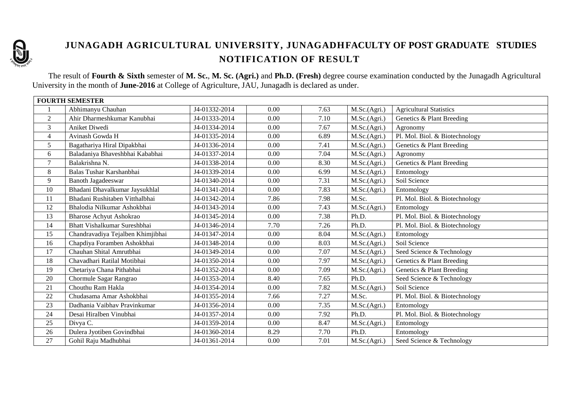

## **JUNAGADH AGRICULTURAL UNIVERSITY, JUNAGADHFACULTY OF POST GRADUATE STUDIES NOTIFICATION OF RESULT**

The result of **Fourth & Sixth** semester of **M. Sc.**, **M. Sc. (Agri.)** and **Ph.D. (Fresh)** degree course examination conducted by the Junagadh Agricultural University in the month of **June-2016** at College of Agriculture, JAU, Junagadh is declared as under.

| <b>FOURTH SEMESTER</b> |                                   |               |      |      |              |                                |
|------------------------|-----------------------------------|---------------|------|------|--------------|--------------------------------|
|                        | Abhimanyu Chauhan                 | J4-01332-2014 | 0.00 | 7.63 | M.Sc.(Agri.) | <b>Agricultural Statistics</b> |
| 2                      | Ahir Dharmeshkumar Kanubhai       | J4-01333-2014 | 0.00 | 7.10 | M.Sc.(Agri.) | Genetics & Plant Breeding      |
| 3                      | Aniket Diwedi                     | J4-01334-2014 | 0.00 | 7.67 | M.Sc.(Agri.) | Agronomy                       |
| $\overline{4}$         | Avinash Gowda H                   | J4-01335-2014 | 0.00 | 6.89 | M.Sc.(Agri.) | Pl. Mol. Biol. & Biotechnology |
| 5                      | Bagathariya Hiral Dipakbhai       | J4-01336-2014 | 0.00 | 7.41 | M.Sc.(Agri.) | Genetics & Plant Breeding      |
| 6                      | Baladaniya Bhaveshbhai Kababhai   | J4-01337-2014 | 0.00 | 7.04 | M.Sc.(Agri.) | Agronomy                       |
| $\overline{7}$         | Balakrishna N.                    | J4-01338-2014 | 0.00 | 8.30 | M.Sc.(Agri.) | Genetics & Plant Breeding      |
| 8                      | Balas Tushar Karshanbhai          | J4-01339-2014 | 0.00 | 6.99 | M.Sc.(Agri.) | Entomology                     |
| 9                      | <b>Banoth Jagadeeswar</b>         | J4-01340-2014 | 0.00 | 7.31 | M.Sc.(Agri.) | Soil Science                   |
| 10                     | Bhadani Dhavalkumar Jaysukhlal    | J4-01341-2014 | 0.00 | 7.83 | M.Sc.(Agri.) | Entomology                     |
| 11                     | Bhadani Rushitaben Vitthalbhai    | J4-01342-2014 | 7.86 | 7.98 | M.Sc.        | Pl. Mol. Biol. & Biotechnology |
| 12                     | Bhalodia Nilkumar Ashokbhai       | J4-01343-2014 | 0.00 | 7.43 | M.Sc.(Agri.) | Entomology                     |
| 13                     | <b>Bharose Achyut Ashokrao</b>    | J4-01345-2014 | 0.00 | 7.38 | Ph.D.        | Pl. Mol. Biol. & Biotechnology |
| 14                     | Bhatt Vishalkumar Sureshbhai      | J4-01346-2014 | 7.70 | 7.26 | Ph.D.        | Pl. Mol. Biol. & Biotechnology |
| 15                     | Chandravadiya Tejalben Khimjibhai | J4-01347-2014 | 0.00 | 8.04 | M.Sc.(Agri.) | Entomology                     |
| 16                     | Chapdiya Foramben Ashokbhai       | J4-01348-2014 | 0.00 | 8.03 | M.Sc.(Agri.) | Soil Science                   |
| 17                     | Chauhan Shital Amrutbhai          | J4-01349-2014 | 0.00 | 7.07 | M.Sc.(Agri.) | Seed Science & Technology      |
| 18                     | Chavadhari Ratilal Motibhai       | J4-01350-2014 | 0.00 | 7.97 | M.Sc.(Agri.) | Genetics & Plant Breeding      |
| 19                     | Chetariya Chana Pithabhai         | J4-01352-2014 | 0.00 | 7.09 | M.Sc.(Agri.) | Genetics & Plant Breeding      |
| 20                     | Chormule Sagar Rangrao            | J4-01353-2014 | 8.40 | 7.65 | Ph.D.        | Seed Science & Technology      |
| 21                     | Chouthu Ram Hakla                 | J4-01354-2014 | 0.00 | 7.82 | M.Sc.(Agri.) | Soil Science                   |
| 22                     | Chudasama Amar Ashokbhai          | J4-01355-2014 | 7.66 | 7.27 | M.Sc.        | Pl. Mol. Biol. & Biotechnology |
| 23                     | Dadhania Vaibhay Pravinkumar      | J4-01356-2014 | 0.00 | 7.35 | M.Sc.(Agri.) | Entomology                     |
| 24                     | Desai Hiralben Vinubhai           | J4-01357-2014 | 0.00 | 7.92 | Ph.D.        | Pl. Mol. Biol. & Biotechnology |
| 25                     | Divya C.                          | J4-01359-2014 | 0.00 | 8.47 | M.Sc.(Agri.) | Entomology                     |
| 26                     | Dulera Jyotiben Govindbhai        | J4-01360-2014 | 8.29 | 7.70 | Ph.D.        | Entomology                     |
| 27                     | Gohil Raju Madhubhai              | J4-01361-2014 | 0.00 | 7.01 | M.Sc.(Agri.) | Seed Science & Technology      |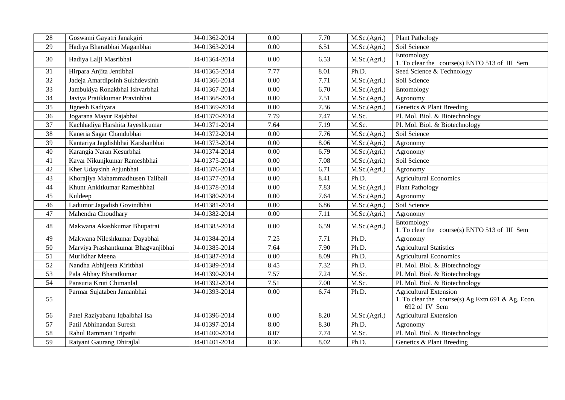| 28              | Goswami Gayatri Janakgiri           | J4-01362-2014 | 0.00 | 7.70 | M.Sc.(Agri.) | <b>Plant Pathology</b>                                             |
|-----------------|-------------------------------------|---------------|------|------|--------------|--------------------------------------------------------------------|
| 29              | Hadiya Bharatbhai Maganbhai         | J4-01363-2014 | 0.00 | 6.51 | M.Sc.(Agri.) | Soil Science                                                       |
| 30              | Hadiya Lalji Masribhai              | J4-01364-2014 | 0.00 | 6.53 | M.Sc.(Agri.) | Entomology<br>1. To clear the course(s) ENTO 513 of III Sem        |
| 31              | Hirpara Anjita Jentibhai            | J4-01365-2014 | 7.77 | 8.01 | Ph.D.        | Seed Science & Technology                                          |
| 32              | Jadeja Amardipsinh Sukhdevsinh      | J4-01366-2014 | 0.00 | 7.71 | M.Sc.(Agri.) | Soil Science                                                       |
| 33              | Jambukiya Ronakbhai Ishvarbhai      | J4-01367-2014 | 0.00 | 6.70 | M.Sc.(Agri.) | Entomology                                                         |
| 34              | Javiya Pratikkumar Pravinbhai       | J4-01368-2014 | 0.00 | 7.51 | M.Sc.(Agri.) | Agronomy                                                           |
| 35              | Jignesh Kadiyara                    | J4-01369-2014 | 0.00 | 7.36 | M.Sc.(Agri.) | Genetics & Plant Breeding                                          |
| 36              | Jogarana Mayur Rajabhai             | J4-01370-2014 | 7.79 | 7.47 | M.Sc.        | Pl. Mol. Biol. & Biotechnology                                     |
| 37              | Kachhadiya Harshita Jayeshkumar     | J4-01371-2014 | 7.64 | 7.19 | M.Sc.        | Pl. Mol. Biol. & Biotechnology                                     |
| 38              | Kaneria Sagar Chandubhai            | J4-01372-2014 | 0.00 | 7.76 | M.Sc.(Agri.) | Soil Science                                                       |
| 39              | Kantariya Jagdishbhai Karshanbhai   | J4-01373-2014 | 0.00 | 8.06 | M.Sc.(Agri.) | Agronomy                                                           |
| 40              | Karangia Naran Kesurbhai            | J4-01374-2014 | 0.00 | 6.79 | M.Sc.(Agri.) | Agronomy                                                           |
| 41              | Kavar Nikunjkumar Rameshbhai        | J4-01375-2014 | 0.00 | 7.08 | M.Sc.(Agri.) | Soil Science                                                       |
| 42              | Kher Udaysinh Arjunbhai             | J4-01376-2014 | 0.00 | 6.71 | M.Sc.(Agri.) | Agronomy                                                           |
| 43              | Khorajiya Mahammadhusen Talibali    | J4-01377-2014 | 0.00 | 8.41 | Ph.D.        | <b>Agricultural Economics</b>                                      |
| $44$            | Khunt Ankitkumar Rameshbhai         | J4-01378-2014 | 0.00 | 7.83 | M.Sc.(Agri.) | <b>Plant Pathology</b>                                             |
| 45              | Kuldeep                             | J4-01380-2014 | 0.00 | 7.64 | M.Sc.(Agri.) | Agronomy                                                           |
| 46              | Ladumor Jagadish Govindbhai         | J4-01381-2014 | 0.00 | 6.86 | M.Sc.(Agri.) | Soil Science                                                       |
| 47              | Mahendra Choudhary                  | J4-01382-2014 | 0.00 | 7.11 | M.Sc.(Agri.) | Agronomy                                                           |
| 48              | Makwana Akashkumar Bhupatrai        | J4-01383-2014 | 0.00 | 6.59 | M.Sc.(Agri.) | Entomology<br>1. To clear the course(s) ENTO 513 of III Sem        |
| 49              | Makwana Nileshkumar Dayabhai        | J4-01384-2014 | 7.25 | 7.71 | Ph.D.        | Agronomy                                                           |
| 50              | Marviya Prashantkumar Bhagvanjibhai | J4-01385-2014 | 7.64 | 7.90 | Ph.D.        | <b>Agricultural Statistics</b>                                     |
| 51              | Murlidhar Meena                     | J4-01387-2014 | 0.00 | 8.09 | Ph.D.        | <b>Agricultural Economics</b>                                      |
| 52              | Nandha Abhijeeta Kiritbhai          | J4-01389-2014 | 8.45 | 7.32 | Ph.D.        | Pl. Mol. Biol. & Biotechnology                                     |
| 53              | Pala Abhay Bharatkumar              | J4-01390-2014 | 7.57 | 7.24 | M.Sc.        | Pl. Mol. Biol. & Biotechnology                                     |
| 54              | Pansuria Kruti Chimanlal            | J4-01392-2014 | 7.51 | 7.00 | M.Sc.        | Pl. Mol. Biol. & Biotechnology                                     |
|                 | Parmar Sujataben Jamanbhai          | J4-01393-2014 | 0.00 | 6.74 | Ph.D.        | <b>Agricultural Extension</b>                                      |
| 55              |                                     |               |      |      |              | 1. To clear the course(s) Ag Extn 691 & Ag. Econ.<br>692 of IV Sem |
| 56              | Patel Raziyabanu Iqbalbhai Isa      | J4-01396-2014 | 0.00 | 8.20 | M.Sc.(Agri.) | <b>Agricultural Extension</b>                                      |
| 57              | Patil Abhinandan Suresh             | J4-01397-2014 | 8.00 | 8.30 | Ph.D.        | Agronomy                                                           |
| 58              | Rahul Rammani Tripathi              | J4-01400-2014 | 8.07 | 7.74 | M.Sc.        | Pl. Mol. Biol. & Biotechnology                                     |
| $\overline{59}$ | Raiyani Gaurang Dhirajlal           | J4-01401-2014 | 8.36 | 8.02 | Ph.D.        | Genetics & Plant Breeding                                          |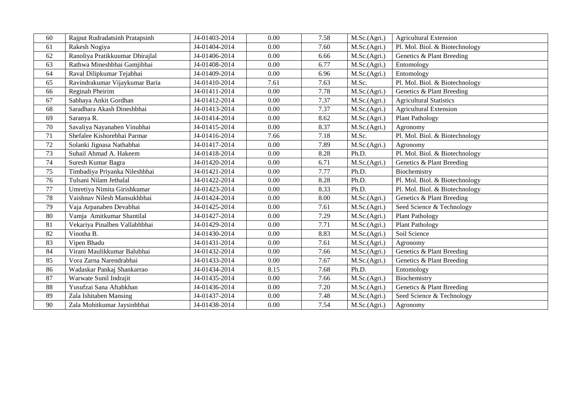| 60 | Rajput Rudradatsinh Pratapsinh  | J4-01403-2014 | 0.00 | 7.58 | M.Sc.(Agri.) | <b>Agricultural Extension</b>  |
|----|---------------------------------|---------------|------|------|--------------|--------------------------------|
| 61 | Rakesh Nogiya                   | J4-01404-2014 | 0.00 | 7.60 | M.Sc.(Agri.) | Pl. Mol. Biol. & Biotechnology |
| 62 | Ranoliya Pratikkuumar Dhirajlal | J4-01406-2014 | 0.00 | 6.66 | M.Sc.(Agri.) | Genetics & Plant Breeding      |
| 63 | Rathwa Mineshbhai Gamjibhai     | J4-01408-2014 | 0.00 | 6.77 | M.Sc.(Agri.) | Entomology                     |
| 64 | Raval Dilipkumar Tejabhai       | J4-01409-2014 | 0.00 | 6.96 | M.Sc.(Agri.) | Entomology                     |
| 65 | Ravindrakumar Vijaykumar Baria  | J4-01410-2014 | 7.61 | 7.63 | M.Sc.        | Pl. Mol. Biol. & Biotechnology |
| 66 | Reginah Pheirim                 | J4-01411-2014 | 0.00 | 7.78 | M.Sc.(Agri.) | Genetics & Plant Breeding      |
| 67 | Sabhaya Ankit Gordhan           | J4-01412-2014 | 0.00 | 7.37 | M.Sc.(Agri.) | <b>Agricultural Statistics</b> |
| 68 | Saradhara Akash Dineshbhai      | J4-01413-2014 | 0.00 | 7.37 | M.Sc.(Agri.) | <b>Agricultural Extension</b>  |
| 69 | Saranya R.                      | J4-01414-2014 | 0.00 | 8.62 | M.Sc.(Agri.) | <b>Plant Pathology</b>         |
| 70 | Savaliya Nayanaben Vinubhai     | J4-01415-2014 | 0.00 | 8.37 | M.Sc.(Agri.) | Agronomy                       |
| 71 | Shefalee Kishorebhai Parmar     | J4-01416-2014 | 7.66 | 7.18 | M.Sc.        | Pl. Mol. Biol. & Biotechnology |
| 72 | Solanki Jignasa Nathabhai       | J4-01417-2014 | 0.00 | 7.89 | M.Sc.(Agri.) | Agronomy                       |
| 73 | Suhail Ahmad A. Hakeem          | J4-01418-2014 | 0.00 | 8.28 | Ph.D.        | Pl. Mol. Biol. & Biotechnology |
| 74 | Suresh Kumar Bagra              | J4-01420-2014 | 0.00 | 6.71 | M.Sc.(Agri.) | Genetics & Plant Breeding      |
| 75 | Timbadiya Priyanka Nileshbhai   | J4-01421-2014 | 0.00 | 7.77 | Ph.D.        | Biochemistry                   |
| 76 | Tulsani Nilam Jethalal          | J4-01422-2014 | 0.00 | 8.28 | Ph.D.        | Pl. Mol. Biol. & Biotechnology |
| 77 | Umretiya Nimita Girishkumar     | J4-01423-2014 | 0.00 | 8.33 | Ph.D.        | Pl. Mol. Biol. & Biotechnology |
| 78 | Vaishnav Nilesh Mansukhbhai     | J4-01424-2014 | 0.00 | 8.00 | M.Sc.(Agri.) | Genetics & Plant Breeding      |
| 79 | Vaja Arpanaben Devabhai         | J4-01425-2014 | 0.00 | 7.61 | M.Sc.(Agri.) | Seed Science & Technology      |
| 80 | Vamja Amitkumar Shantilal       | J4-01427-2014 | 0.00 | 7.29 | M.Sc.(Agri.) | Plant Pathology                |
| 81 | Vekariya Pinalben Vallabhbhai   | J4-01429-2014 | 0.00 | 7.71 | M.Sc.(Agri.) | <b>Plant Pathology</b>         |
| 82 | Vinotha B.                      | J4-01430-2014 | 0.00 | 8.83 | M.Sc.(Agri.) | Soil Science                   |
| 83 | Vipen Bhadu                     | J4-01431-2014 | 0.00 | 7.61 | M.Sc.(Agri.) | Agronomy                       |
| 84 | Virani Maulikkumar Balubhai     | J4-01432-2014 | 0.00 | 7.66 | M.Sc.(Agri.) | Genetics & Plant Breeding      |
| 85 | Vora Zarna Narendrabhai         | J4-01433-2014 | 0.00 | 7.67 | M.Sc.(Agri.) | Genetics & Plant Breeding      |
| 86 | Wadaskar Pankaj Shankarrao      | J4-01434-2014 | 8.15 | 7.68 | Ph.D.        | Entomology                     |
| 87 | Warwate Sunil Indrajit          | J4-01435-2014 | 0.00 | 7.66 | M.Sc.(Agri.) | Biochemistry                   |
| 88 | Yusufzai Sana Aftabkhan         | J4-01436-2014 | 0.00 | 7.20 | M.Sc.(Agri.) | Genetics & Plant Breeding      |
| 89 | Zala Ishitaben Mansing          | J4-01437-2014 | 0.00 | 7.48 | M.Sc.(Agri.) | Seed Science & Technology      |
| 90 | Zala Mohitkumar Jaysinhbhai     | J4-01438-2014 | 0.00 | 7.54 | M.Sc.(Agri.) | Agronomy                       |